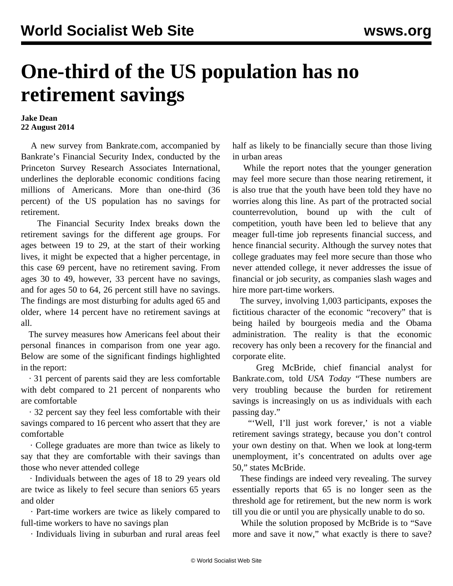## **One-third of the US population has no retirement savings**

## **Jake Dean 22 August 2014**

 A new survey from Bankrate.com, accompanied by Bankrate's Financial Security Index, conducted by the Princeton Survey Research Associates International, underlines the deplorable economic conditions facing millions of Americans. More than one-third (36 percent) of the US population has no savings for retirement.

 The Financial Security Index breaks down the retirement savings for the different age groups. For ages between 19 to 29, at the start of their working lives, it might be expected that a higher percentage, in this case 69 percent, have no retirement saving. From ages 30 to 49, however, 33 percent have no savings, and for ages 50 to 64, 26 percent still have no savings. The findings are most disturbing for adults aged 65 and older, where 14 percent have no retirement savings at all.

 The survey measures how Americans feel about their personal finances in comparison from one year ago. Below are some of the significant findings highlighted in the report:

 · 31 percent of parents said they are less comfortable with debt compared to 21 percent of nonparents who are comfortable

 · 32 percent say they feel less comfortable with their savings compared to 16 percent who assert that they are comfortable

 · College graduates are more than twice as likely to say that they are comfortable with their savings than those who never attended college

 · Individuals between the ages of 18 to 29 years old are twice as likely to feel secure than seniors 65 years and older

 · Part-time workers are twice as likely compared to full-time workers to have no savings plan

· Individuals living in suburban and rural areas feel

half as likely to be financially secure than those living in urban areas

 While the report notes that the younger generation may feel more secure than those nearing retirement, it is also true that the youth have been told they have no worries along this line. As part of the protracted social counterrevolution, bound up with the cult of competition, youth have been led to believe that any meager full-time job represents financial success, and hence financial security. Although the survey notes that college graduates may feel more secure than those who never attended college, it never addresses the issue of financial or job security, as companies slash wages and hire more part-time workers.

 The survey, involving 1,003 participants, exposes the fictitious character of the economic "recovery" that is being hailed by bourgeois media and the Obama administration. The reality is that the economic recovery has only been a recovery for the financial and corporate elite.

 Greg McBride, chief financial analyst for Bankrate.com, told *USA Today* "These numbers are very troubling because the burden for retirement savings is increasingly on us as individuals with each passing day."

"'Well, I'll just work forever,' is not a viable retirement savings strategy, because you don't control your own destiny on that. When we look at long-term unemployment, it's concentrated on adults over age 50," states McBride.

 These findings are indeed very revealing. The survey essentially reports that 65 is no longer seen as the threshold age for retirement, but the new norm is work till you die or until you are physically unable to do so.

 While the solution proposed by McBride is to "Save more and save it now," what exactly is there to save?